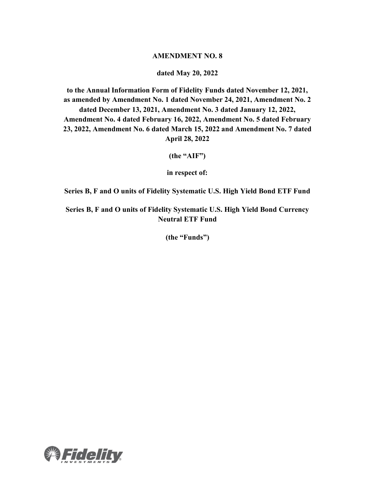## **AMENDMENT NO. 8**

## **dated May 20, 2022**

**to the Annual Information Form of Fidelity Funds dated November 12, 2021, as amended by Amendment No. 1 dated November 24, 2021, Amendment No. 2 dated December 13, 2021, Amendment No. 3 dated January 12, 2022, Amendment No. 4 dated February 16, 2022, Amendment No. 5 dated February 23, 2022, Amendment No. 6 dated March 15, 2022 and Amendment No. 7 dated April 28, 2022**

**(the "AIF")**

**in respect of:**

**Series B, F and O units of Fidelity Systematic U.S. High Yield Bond ETF Fund** 

**Series B, F and O units of Fidelity Systematic U.S. High Yield Bond Currency Neutral ETF Fund** 

**(the "Funds")**

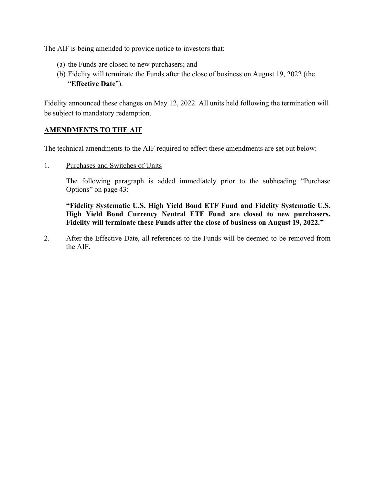The AIF is being amended to provide notice to investors that:

- (a) the Funds are closed to new purchasers; and
- (b) Fidelity will terminate the Funds after the close of business on August 19, 2022 (the "**Effective Date**").

Fidelity announced these changes on May 12, 2022. All units held following the termination will be subject to mandatory redemption.

## **AMENDMENTS TO THE AIF**

The technical amendments to the AIF required to effect these amendments are set out below:

1. Purchases and Switches of Units

The following paragraph is added immediately prior to the subheading "Purchase Options" on page 43:

**"Fidelity Systematic U.S. High Yield Bond ETF Fund and Fidelity Systematic U.S. High Yield Bond Currency Neutral ETF Fund are closed to new purchasers. Fidelity will terminate these Funds after the close of business on August 19, 2022."**

2. After the Effective Date, all references to the Funds will be deemed to be removed from the AIF.